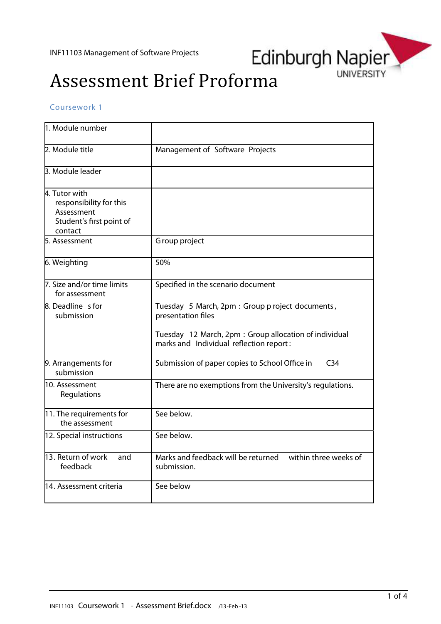

#### *Coursework 1*

| 1. Module number                                                                              |                                                                                                                                                                             |
|-----------------------------------------------------------------------------------------------|-----------------------------------------------------------------------------------------------------------------------------------------------------------------------------|
| 2. Module title                                                                               | Management of Software Projects                                                                                                                                             |
| 3. Module leader                                                                              |                                                                                                                                                                             |
| 4. Tutor with<br>responsibility for this<br>Assessment<br>Student's first point of<br>contact |                                                                                                                                                                             |
| 5. Assessment                                                                                 | Group project                                                                                                                                                               |
| 6. Weighting                                                                                  | 50%                                                                                                                                                                         |
| 7. Size and/or time limits<br>for assessment                                                  | Specified in the scenario document                                                                                                                                          |
| 8. Deadline s for<br>submission                                                               | Tuesday 5 March, 2pm : Group p roject documents,<br>presentation files<br>Tuesday 12 March, 2pm : Group allocation of individual<br>marks and Individual reflection report: |
| 9. Arrangements for<br>submission                                                             | Submission of paper copies to School Office in<br>C <sub>34</sub>                                                                                                           |
| 10. Assessment<br>Regulations                                                                 | There are no exemptions from the University's regulations.                                                                                                                  |
| 11. The requirements for<br>the assessment                                                    | See below.                                                                                                                                                                  |
| 12. Special instructions                                                                      | See below.                                                                                                                                                                  |
| 13. Return of work<br>and<br>feedback                                                         | Marks and feedback will be returned within three weeks of<br>submission.                                                                                                    |
| 14. Assessment criteria                                                                       | See below                                                                                                                                                                   |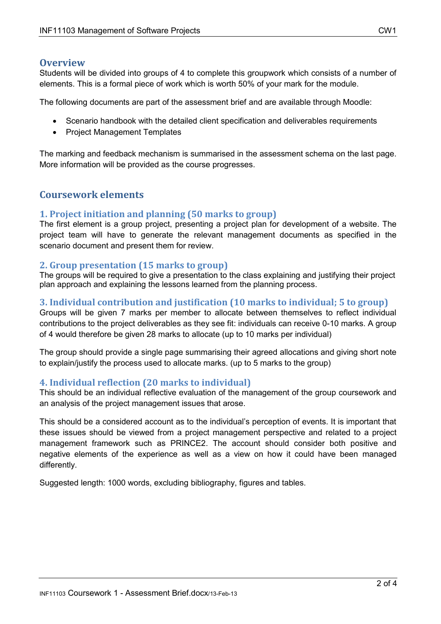#### **Overview**

Students will be divided into groups of 4 to complete this groupwork which consists of a number of elements. This is a formal piece of work which is worth 50% of your mark for the module.

The following documents are part of the assessment brief and are available through Moodle:

- Scenario handbook with the detailed client specification and deliverables requirements
- Project Management Templates

The marking and feedback mechanism is summarised in the assessment schema on the last page. More information will be provided as the course progresses.

#### **Coursework elements**

#### **1. Project initiation and planning (50 marks to group)**

The first element is a group project, presenting a project plan for development of a website. The project team will have to generate the relevant management documents as specified in the scenario document and present them for review.

#### **2. Group presentation (15 marks to group)**

The groups will be required to give a presentation to the class explaining and justifying their project plan approach and explaining the lessons learned from the planning process.

#### **3. Individual contribution and justification (10 marks to individual; 5 to group)**

Groups will be given 7 marks per member to allocate between themselves to reflect individual contributions to the project deliverables as they see fit: individuals can receive 0-10 marks. A group of 4 would therefore be given 28 marks to allocate (up to 10 marks per individual)

The group should provide a single page summarising their agreed allocations and giving short note to explain/justify the process used to allocate marks. (up to 5 marks to the group)

#### **4. Individual reflection (20 marks to individual)**

This should be an individual reflective evaluation of the management of the group coursework and an analysis of the project management issues that arose.

This should be a considered account as to the individual's perception of events. It is important that these issues should be viewed from a project management perspective and related to a project management framework such as PRINCE2. The account should consider both positive and negative elements of the experience as well as a view on how it could have been managed differently.

Suggested length: 1000 words, excluding bibliography, figures and tables.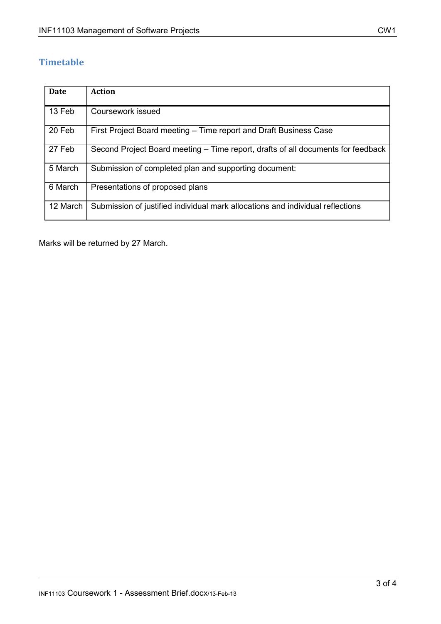#### **Timetable**

| Date     | <b>Action</b>                                                                    |
|----------|----------------------------------------------------------------------------------|
| 13 Feb   | Coursework issued                                                                |
| 20 Feb   | First Project Board meeting - Time report and Draft Business Case                |
| 27 Feb   | Second Project Board meeting – Time report, drafts of all documents for feedback |
| 5 March  | Submission of completed plan and supporting document:                            |
| 6 March  | Presentations of proposed plans                                                  |
| 12 March | Submission of justified individual mark allocations and individual reflections   |

Marks will be returned by 27 March.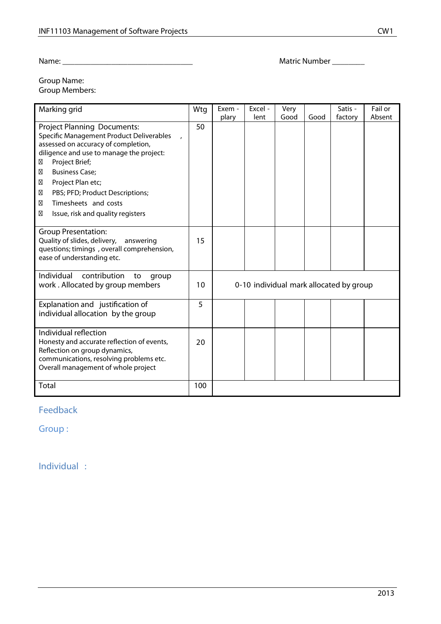**Name: \_\_\_\_\_\_\_\_\_\_\_\_\_\_\_\_\_\_\_\_\_\_\_\_\_\_\_\_\_\_\_\_ Matric Number \_\_\_\_\_\_\_\_**

#### **Group Name: Group Members:**

| Marking grid                                                                                                                                                                                                                                                                                                                      | Wtg | Exem -                                  | Excel - | Very |      | Satis - | Fail or |
|-----------------------------------------------------------------------------------------------------------------------------------------------------------------------------------------------------------------------------------------------------------------------------------------------------------------------------------|-----|-----------------------------------------|---------|------|------|---------|---------|
| <b>Project Planning Documents:</b><br>Specific Management Product Deliverables<br>assessed on accuracy of completion,<br>diligence and use to manage the project:<br>Project Brief;<br><b>Business Case;</b><br>Project Plan etc;<br>PBS; PFD; Product Descriptions;<br>Timesheets and costs<br>Issue, risk and quality registers | 50  | plary                                   | lent    | Good | Good | factory | Absent  |
| <b>Group Presentation:</b><br>Quality of slides, delivery,<br>answering<br>questions; timings, overall comprehension,<br>ease of understanding etc.                                                                                                                                                                               | 15  |                                         |         |      |      |         |         |
| Individual<br>contribution<br>to<br>group<br>work. Allocated by group members                                                                                                                                                                                                                                                     | 10  | 0-10 individual mark allocated by group |         |      |      |         |         |
| Explanation and justification of<br>individual allocation by the group                                                                                                                                                                                                                                                            | 5   |                                         |         |      |      |         |         |
| Individual reflection<br>Honesty and accurate reflection of events,<br>Reflection on group dynamics,<br>communications, resolving problems etc.<br>Overall management of whole project                                                                                                                                            | 20  |                                         |         |      |      |         |         |
| Total                                                                                                                                                                                                                                                                                                                             | 100 |                                         |         |      |      |         |         |

#### **Feedback**

**Group :**

**Individual :**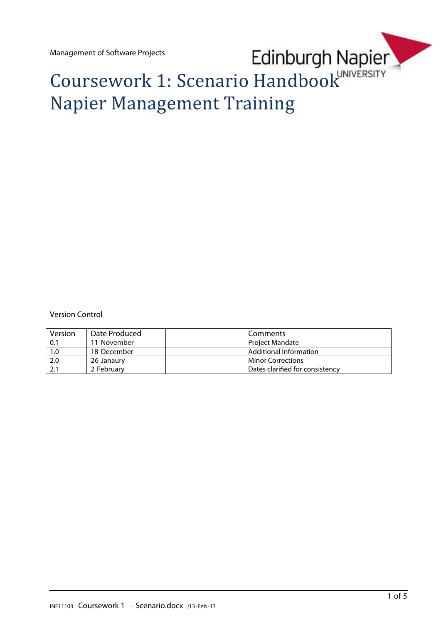Management of Software Projects



# Coursework 1: Scenario Handbook Napier Management Training

**Version Control**

| Version | Date Produced | Comments                        |
|---------|---------------|---------------------------------|
| 0.1     | 11 November   | <b>Project Mandate</b>          |
| 1.0     | 18 December   | Additional Information          |
| 2.0     | 26 Janaury    | <b>Minor Corrections</b>        |
|         | 2 February    | Dates clarified for consistency |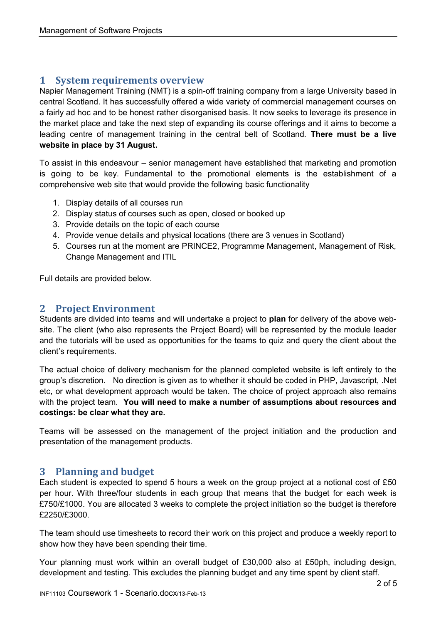#### **1 System requirements overview**

Napier Management Training (NMT) is a spin-off training company from a large University based in central Scotland. It has successfully offered a wide variety of commercial management courses on a fairly ad hoc and to be honest rather disorganised basis. It now seeks to leverage its presence in the market place and take the next step of expanding its course offerings and it aims to become a leading centre of management training in the central belt of Scotland. **There must be a live website in place by 31 August.**

To assist in this endeavour – senior management have established that marketing and promotion is going to be key. Fundamental to the promotional elements is the establishment of a comprehensive web site that would provide the following basic functionality

- 1. Display details of all courses run
- 2. Display status of courses such as open, closed or booked up
- 3. Provide details on the topic of each course
- 4. Provide venue details and physical locations (there are 3 venues in Scotland)
- 5. Courses run at the moment are PRINCE2, Programme Management, Management of Risk, Change Management and ITIL

Full details are provided below.

#### **2 Project Environment**

Students are divided into teams and will undertake a project to **plan** for delivery of the above website. The client (who also represents the Project Board) will be represented by the module leader and the tutorials will be used as opportunities for the teams to quiz and query the client about the client's requirements.

The actual choice of delivery mechanism for the planned completed website is left entirely to the group's discretion. No direction is given as to whether it should be coded in PHP, Javascript, .Net etc, or what development approach would be taken. The choice of project approach also remains with the project team. **You will need to make a number of assumptions about resources and costings: be clear what they are.**

Teams will be assessed on the management of the project initiation and the production and presentation of the management products.

#### **3 Planning and budget**

Each student is expected to spend 5 hours a week on the group project at a notional cost of £50 per hour. With three/four students in each group that means that the budget for each week is £750/£1000. You are allocated 3 weeks to complete the project initiation so the budget is therefore £2250/£3000.

The team should use timesheets to record their work on this project and produce a weekly report to show how they have been spending their time.

Your planning must work within an overall budget of £30,000 also at £50ph, including design, development and testing. This excludes the planning budget and any time spent by client staff.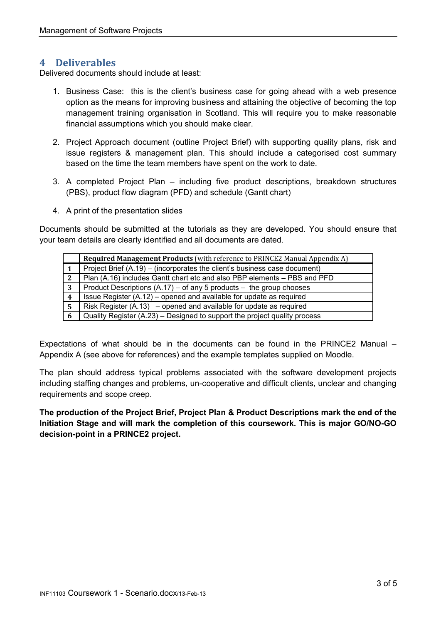#### **4 Deliverables**

Delivered documents should include at least:

- 1. Business Case: this is the client's business case for going ahead with a web presence option as the means for improving business and attaining the objective of becoming the top management training organisation in Scotland. This will require you to make reasonable financial assumptions which you should make clear.
- 2. Project Approach document (outline Project Brief) with supporting quality plans, risk and issue registers & management plan. This should include a categorised cost summary based on the time the team members have spent on the work to date.
- 3. A completed Project Plan including five product descriptions, breakdown structures (PBS), product flow diagram (PFD) and schedule (Gantt chart)
- 4. A print of the presentation slides

Documents should be submitted at the tutorials as they are developed. You should ensure that your team details are clearly identified and all documents are dated.

|   | <b>Required Management Products (with reference to PRINCE2 Manual Appendix A)</b> |
|---|-----------------------------------------------------------------------------------|
|   | Project Brief (A.19) – (incorporates the client's business case document)         |
| 2 | Plan (A.16) includes Gantt chart etc and also PBP elements - PBS and PFD          |
| 3 | Product Descriptions $(A.17)$ – of any 5 products – the group chooses             |
| 4 | Issue Register (A.12) – opened and available for update as required               |
| 5 | Risk Register $(A.13)$ – opened and available for update as required              |
| 6 | Quality Register (A.23) – Designed to support the project quality process         |

Expectations of what should be in the documents can be found in the PRINCE2 Manual – Appendix A (see above for references) and the example templates supplied on Moodle.

The plan should address typical problems associated with the software development projects including staffing changes and problems, un-cooperative and difficult clients, unclear and changing requirements and scope creep.

**The production of the Project Brief, Project Plan & Product Descriptions mark the end of the Initiation Stage and will mark the completion of this coursework. This is major GO/NO-GO decision-point in a PRINCE2 project.**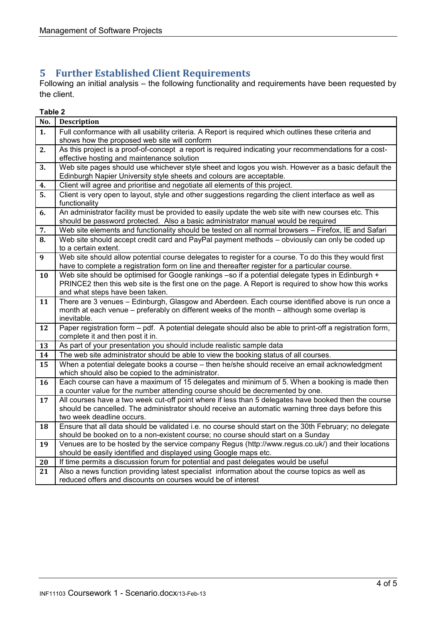#### **5 Further Established Client Requirements**

Following an initial analysis – the following functionality and requirements have been requested by the client.

#### **Table 2**

| No.              | <b>Description</b>                                                                                                                                      |
|------------------|---------------------------------------------------------------------------------------------------------------------------------------------------------|
| 1.               | Full conformance with all usability criteria. A Report is required which outlines these criteria and                                                    |
|                  | shows how the proposed web site will conform                                                                                                            |
| 2.               | As this project is a proof-of-concept a report is required indicating your recommendations for a cost-<br>effective hosting and maintenance solution    |
| 3.               | Web site pages should use whichever style sheet and logos you wish. However as a basic default the                                                      |
|                  | Edinburgh Napier University style sheets and colours are acceptable.                                                                                    |
| 4.               | Client will agree and prioritise and negotiate all elements of this project.                                                                            |
| $\overline{5}$ . | Client is very open to layout, style and other suggestions regarding the client interface as well as<br>functionality                                   |
| 6.               | An administrator facility must be provided to easily update the web site with new courses etc. This                                                     |
|                  | should be password protected. Also a basic administrator manual would be required                                                                       |
| 7.               | Web site elements and functionality should be tested on all normal browsers - Firefox, IE and Safari                                                    |
| 8.               | Web site should accept credit card and PayPal payment methods - obviously can only be coded up                                                          |
|                  | to a certain extent.                                                                                                                                    |
| $\boldsymbol{9}$ | Web site should allow potential course delegates to register for a course. To do this they would first                                                  |
|                  | have to complete a registration form on line and thereafter register for a particular course.                                                           |
| 10               | Web site should be optimised for Google rankings -so if a potential delegate types in Edinburgh +                                                       |
|                  | PRINCE2 then this web site is the first one on the page. A Report is required to show how this works<br>and what steps have been taken.                 |
| 11               | There are 3 venues - Edinburgh, Glasgow and Aberdeen. Each course identified above is run once a                                                        |
|                  | month at each venue – preferably on different weeks of the month – although some overlap is                                                             |
|                  | inevitable.                                                                                                                                             |
| 12               | Paper registration form - pdf. A potential delegate should also be able to print-off a registration form,                                               |
|                  | complete it and then post it in.                                                                                                                        |
| 13               | As part of your presentation you should include realistic sample data                                                                                   |
| 14               | The web site administrator should be able to view the booking status of all courses.                                                                    |
| 15               | When a potential delegate books a course - then he/she should receive an email acknowledgment                                                           |
|                  | which should also be copied to the administrator.                                                                                                       |
| 16               | Each course can have a maximum of 15 delegates and minimum of 5. When a booking is made then                                                            |
|                  | a counter value for the number attending course should be decremented by one.                                                                           |
| 17               | All courses have a two week cut-off point where if less than 5 delegates have booked then the course                                                    |
|                  | should be cancelled. The administrator should receive an automatic warning three days before this                                                       |
|                  | two week deadline occurs.                                                                                                                               |
| 18               | Ensure that all data should be validated i.e. no course should start on the 30th February; no delegate                                                  |
|                  | should be booked on to a non-existent course; no course should start on a Sunday                                                                        |
| 19               | Venues are to be hosted by the service company Regus (http://www.regus.co.uk/) and their locations                                                      |
|                  | should be easily identified and displayed using Google maps etc.<br>If time permits a discussion forum for potential and past delegates would be useful |
| 20<br>21         | Also a news function providing latest specialist information about the course topics as well as                                                         |
|                  | reduced offers and discounts on courses would be of interest                                                                                            |
|                  |                                                                                                                                                         |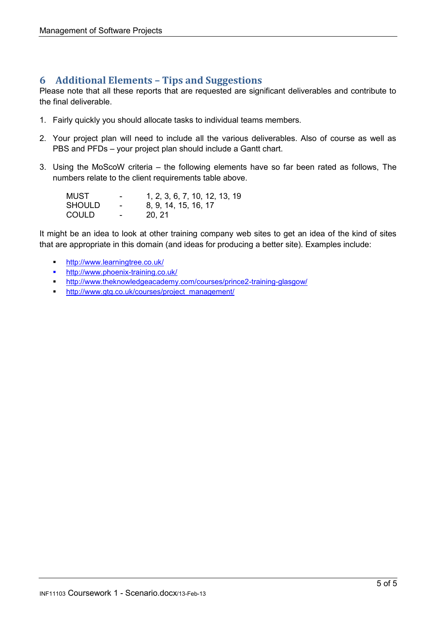#### **6 Additional Elements – Tips and Suggestions**

Please note that all these reports that are requested are significant deliverables and contribute to the final deliverable.

- 1. Fairly quickly you should allocate tasks to individual teams members.
- 2. Your project plan will need to include all the various deliverables. Also of course as well as PBS and PFDs – your project plan should include a Gantt chart.
- 3. Using the MoScoW criteria the following elements have so far been rated as follows, The numbers relate to the client requirements table above.

| MUST          | -                        | 1, 2, 3, 6, 7, 10, 12, 13, 19 |
|---------------|--------------------------|-------------------------------|
| <b>SHOULD</b> | $\sim$                   | 8, 9, 14, 15, 16, 17          |
| <b>COULD</b>  | $\overline{\phantom{0}}$ | 20, 21                        |

It might be an idea to look at other training company web sites to get an idea of the kind of sites that are appropriate in this domain (and ideas for producing a better site). Examples include:

- http://www.learningtree.co.uk/
- http://www.phoenix-training.co.uk/
- http://www.theknowledgeacademy.com/courses/prince2-training-glasgow/
- http://www.gtg.co.uk/courses/project\_management/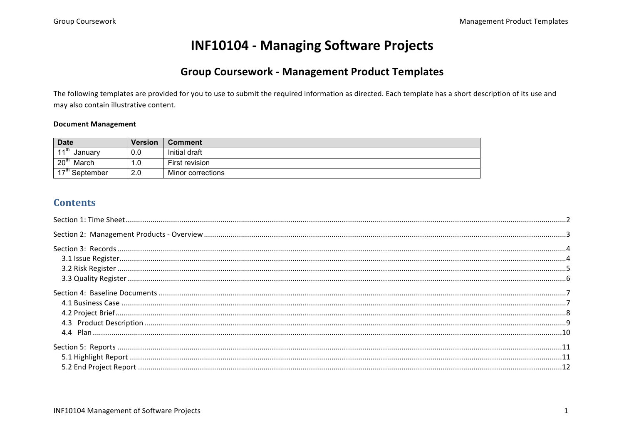## **INF10104 - Managing Software Projects**

### **Group Coursework - Management Product Templates**

The following templates are provided for you to use to submit the required information as directed. Each template has a short description of its use and may also contain illustrative content.

#### **Document Management**

| <b>Date</b>                | <b>Version</b> | Comment           |
|----------------------------|----------------|-------------------|
| ⊿⊥th<br>January            | 0.0            | Initial draft     |
| 20 <sup>th</sup><br>March  | . .0           | First revision    |
| 17 <sup>th</sup> September | 2.0            | Minor corrections |

#### **Contents**

| <u> 2000 n. paseme posanene minimuminimum inimum inimum inimum inimum inimum inimum inimum inimum inimum inimum ini</u> |  |
|-------------------------------------------------------------------------------------------------------------------------|--|
|                                                                                                                         |  |
|                                                                                                                         |  |
|                                                                                                                         |  |
|                                                                                                                         |  |
|                                                                                                                         |  |
|                                                                                                                         |  |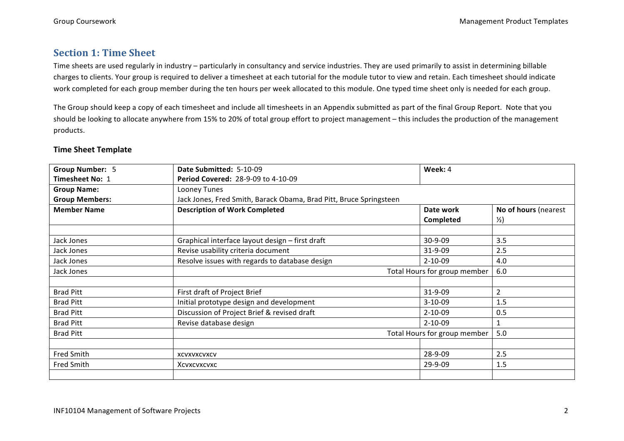#### **Section 1: Time Sheet**

Time sheets are used regularly in industry – particularly in consultancy and service industries. They are used primarily to assist in determining billable charges to clients. Your group is required to deliver a timesheet at each tutorial for the module tutor to view and retain. Each timesheet should indicate work completed for each group member during the ten hours per week allocated to this module. One typed time sheet only is needed for each group.

The Group should keep a copy of each timesheet and include all timesheets in an Appendix submitted as part of the final Group Report. Note that you should be looking to allocate anywhere from 15% to 20% of total group effort to project management – this includes the production of the management products.

#### **Time Sheet Template**

| <b>Group Number: 5</b> | Week: 4<br>Date Submitted: 5-10-09                                 |                                     |                      |  |  |
|------------------------|--------------------------------------------------------------------|-------------------------------------|----------------------|--|--|
| Timesheet No: 1        | <b>Period Covered: 28-9-09 to 4-10-09</b>                          |                                     |                      |  |  |
| <b>Group Name:</b>     | Looney Tunes                                                       |                                     |                      |  |  |
| <b>Group Members:</b>  | Jack Jones, Fred Smith, Barack Obama, Brad Pitt, Bruce Springsteen |                                     |                      |  |  |
| <b>Member Name</b>     | <b>Description of Work Completed</b>                               | Date work                           | No of hours (nearest |  |  |
|                        |                                                                    | Completed                           | $\frac{1}{2}$        |  |  |
|                        |                                                                    |                                     |                      |  |  |
| Jack Jones             | Graphical interface layout design - first draft                    | 30-9-09                             | 3.5                  |  |  |
| Jack Jones             | Revise usability criteria document                                 | 31-9-09                             | 2.5                  |  |  |
| Jack Jones             | Resolve issues with regards to database design                     | $2 - 10 - 09$                       | 4.0                  |  |  |
| Jack Jones             |                                                                    | Total Hours for group member<br>6.0 |                      |  |  |
|                        |                                                                    |                                     |                      |  |  |
| <b>Brad Pitt</b>       | First draft of Project Brief                                       | 31-9-09                             | $\overline{2}$       |  |  |
| <b>Brad Pitt</b>       | Initial prototype design and development                           | $3-10-09$                           | 1.5                  |  |  |
| <b>Brad Pitt</b>       | Discussion of Project Brief & revised draft                        | $2 - 10 - 09$                       | 0.5                  |  |  |
| <b>Brad Pitt</b>       | Revise database design                                             | $2 - 10 - 09$                       | 1                    |  |  |
| <b>Brad Pitt</b>       |                                                                    | Total Hours for group member        | 5.0                  |  |  |
|                        |                                                                    |                                     |                      |  |  |
| Fred Smith             | <b>XCVXVXCVXCV</b>                                                 | 28-9-09                             | 2.5                  |  |  |
| Fred Smith             | XCVXCVXCVXC                                                        | 29-9-09                             | 1.5                  |  |  |
|                        |                                                                    |                                     |                      |  |  |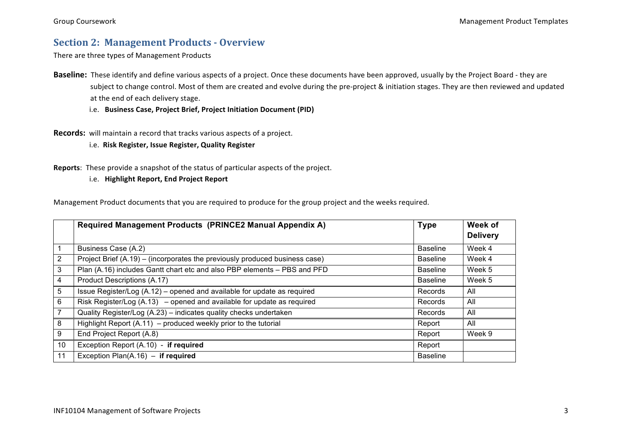#### **Section 2: Management Products - Overview**

There are three types of Management Products

- **Baseline:** These identify and define various aspects of a project. Once these documents have been approved, usually by the Project Board they are subject to change control. Most of them are created and evolve during the pre-project & initiation stages. They are then reviewed and updated at the end of each delivery stage.
	- i.e. **Business Case, Project Brief, Project Initiation Document (PID)**

**Records:** will maintain a record that tracks various aspects of a project.

i.e. Risk Register, Issue Register, Quality Register

**Reports**: These provide a snapshot of the status of particular aspects of the project.

i.e. **Highlight Report, End Project Report**

Management Product documents that you are required to produce for the group project and the weeks required.

|    | Required Management Products (PRINCE2 Manual Appendix A)                    | <b>Type</b>     | Week of         |
|----|-----------------------------------------------------------------------------|-----------------|-----------------|
|    |                                                                             |                 | <b>Delivery</b> |
|    | Business Case (A.2)                                                         | <b>Baseline</b> | Week 4          |
| 2  | Project Brief (A.19) – (incorporates the previously produced business case) | <b>Baseline</b> | Week 4          |
| 3  | Plan (A.16) includes Gantt chart etc and also PBP elements - PBS and PFD    | <b>Baseline</b> | Week 5          |
| 4  | Product Descriptions (A.17)                                                 | <b>Baseline</b> | Week 5          |
| 5  | Issue Register/Log (A.12) - opened and available for update as required     | Records         | All             |
| 6  | Risk Register/Log (A.13) – opened and available for update as required      | Records         | All             |
|    | Quality Register/Log (A.23) – indicates quality checks undertaken           | Records         | All             |
| 8  | Highlight Report (A.11) – produced weekly prior to the tutorial             | Report          | All             |
| 9  | End Project Report (A.8)                                                    | Report          | Week 9          |
| 10 | Exception Report (A.10) - if required                                       | Report          |                 |
| 11 | Exception Plan(A.16) $-$ if required                                        | <b>Baseline</b> |                 |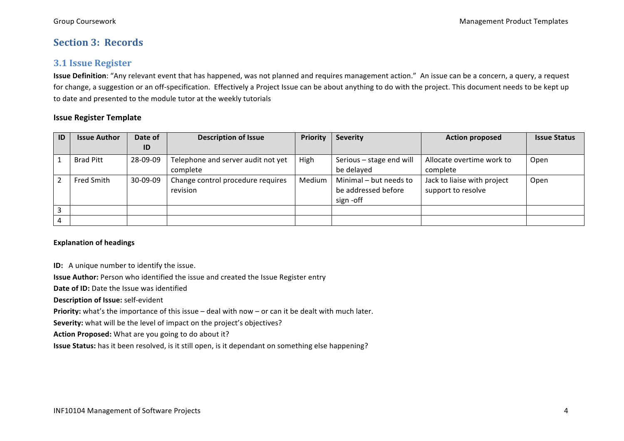#### **Section 3: Records**

#### **3.1 Issue Register**

**Issue Definition**: "Any relevant event that has happened, was not planned and requires management action." An issue can be a concern, a query, a request for change, a suggestion or an off-specification. Effectively a Project Issue can be about anything to do with the project. This document needs to be kept up to date and presented to the module tutor at the weekly tutorials

#### **Issue Register Template**

| ID | <b>Issue Author</b> | Date of  | <b>Description of Issue</b>                    | Priority | <b>Severity</b>                                            | <b>Action proposed</b>                            | <b>Issue Status</b> |
|----|---------------------|----------|------------------------------------------------|----------|------------------------------------------------------------|---------------------------------------------------|---------------------|
|    |                     | ID       |                                                |          |                                                            |                                                   |                     |
|    | <b>Brad Pitt</b>    | 28-09-09 | Telephone and server audit not yet<br>complete | High     | Serious - stage end will<br>be delayed                     | Allocate overtime work to<br>complete             | Open                |
|    | <b>Fred Smith</b>   | 30-09-09 | Change control procedure requires<br>revision  | Medium   | Minimal – but needs to<br>be addressed before<br>sign -off | Jack to liaise with project<br>support to resolve | Open                |
|    |                     |          |                                                |          |                                                            |                                                   |                     |
|    |                     |          |                                                |          |                                                            |                                                   |                     |

#### **Explanation of headings**

**ID:** A unique number to identify the issue.

**Issue Author:** Person who identified the issue and created the Issue Register entry

**Date of ID:** Date the Issue was identified

**Description of Issue:** self-evident

**Priority:** what's the importance of this issue – deal with now – or can it be dealt with much later.

**Severity:** what will be the level of impact on the project's objectives?

**Action Proposed:** What are you going to do about it?

**Issue Status:** has it been resolved, is it still open, is it dependant on something else happening?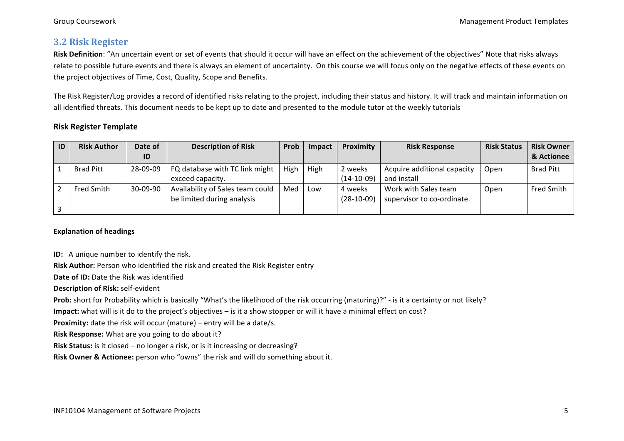#### **3.2 Risk Register**

**Risk Definition:** "An uncertain event or set of events that should it occur will have an effect on the achievement of the objectives" Note that risks always relate to possible future events and there is always an element of uncertainty. On this course we will focus only on the negative effects of these events on the project objectives of Time, Cost, Quality, Scope and Benefits.

The Risk Register/Log provides a record of identified risks relating to the project, including their status and history. It will track and maintain information on all identified threats. This document needs to be kept up to date and presented to the module tutor at the weekly tutorials

#### **Risk Register Template**

| ID | <b>Risk Author</b> | Date of  | <b>Description of Risk</b>       | Prob | Impact | Proximity    | <b>Risk Response</b>        | <b>Risk Status</b> | <b>Risk Owner</b> |
|----|--------------------|----------|----------------------------------|------|--------|--------------|-----------------------------|--------------------|-------------------|
|    |                    | ID       |                                  |      |        |              |                             |                    | & Actionee        |
|    | <b>Brad Pitt</b>   | 28-09-09 | FQ database with TC link might   | High | High   | 2 weeks      | Acquire additional capacity | Open               | <b>Brad Pitt</b>  |
|    |                    |          | exceed capacity.                 |      |        | $(14-10-09)$ | and install                 |                    |                   |
|    | <b>Fred Smith</b>  | 30-09-90 | Availability of Sales team could | Med  | Low    | 4 weeks      | Work with Sales team        | Open               | Fred Smith        |
|    |                    |          | be limited during analysis       |      |        | $(28-10-09)$ | supervisor to co-ordinate.  |                    |                   |
|    |                    |          |                                  |      |        |              |                             |                    |                   |

#### **Explanation of headings**

**ID:** A unique number to identify the risk.

**Risk Author:** Person who identified the risk and created the Risk Register entry

**Date of ID:** Date the Risk was identified

**Description of Risk:** self-evident

Prob: short for Probability which is basically "What's the likelihood of the risk occurring (maturing)?" - is it a certainty or not likely?

**Impact:** what will is it do to the project's objectives – is it a show stopper or will it have a minimal effect on cost?

**Proximity:** date the risk will occur (mature) – entry will be a date/s.

**Risk Response:** What are you going to do about it?

**Risk Status:** is it closed – no longer a risk, or is it increasing or decreasing?

**Risk Owner & Actionee:** person who "owns" the risk and will do something about it.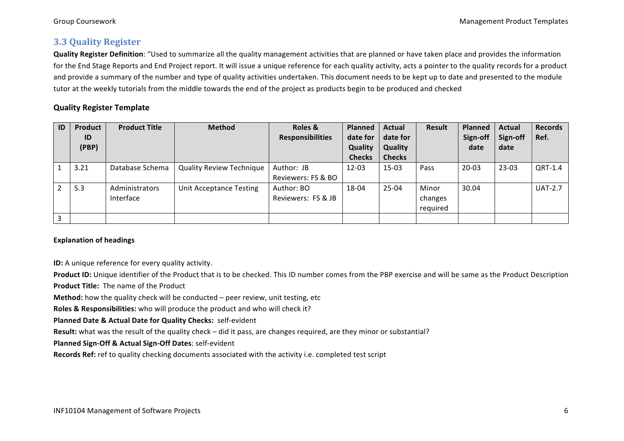#### **3.3 Quality Register**

**Quality Register Definition**: "Used to summarize all the quality management activities that are planned or have taken place and provides the information for the End Stage Reports and End Project report. It will issue a unique reference for each quality activity, acts a pointer to the quality records for a product and provide a summary of the number and type of quality activities undertaken. This document needs to be kept up to date and presented to the module tutor at the weekly tutorials from the middle towards the end of the project as products begin to be produced and checked

#### **Quality Register Template**

| ID | <b>Product</b><br>ID | <b>Product Title</b> | <b>Method</b>                   | Roles &<br><b>Responsibilities</b> | <b>Planned</b><br>date for | Actual<br>date for | Result   | <b>Planned</b><br>Sign-off | Actual           | <b>Records</b><br>Ref. |
|----|----------------------|----------------------|---------------------------------|------------------------------------|----------------------------|--------------------|----------|----------------------------|------------------|------------------------|
|    | (PBP)                |                      |                                 |                                    | Quality                    | Quality            |          | date                       | Sign-off<br>date |                        |
|    |                      |                      |                                 |                                    | <b>Checks</b>              | <b>Checks</b>      |          |                            |                  |                        |
|    | 3.21                 | Database Schema      | <b>Quality Review Technique</b> | Author: JB                         | $12 - 03$                  | $15-03$            | Pass     | $20 - 03$                  | $23-03$          | QRT-1.4                |
|    |                      |                      |                                 | Reviewers: FS & BO                 |                            |                    |          |                            |                  |                        |
|    | 5.3                  | Administrators       | Unit Acceptance Testing         | Author: BO                         | 18-04                      | $25 - 04$          | Minor    | 30.04                      |                  | <b>UAT-2.7</b>         |
|    |                      | Interface            |                                 | Reviewers: FS & JB                 |                            |                    | changes  |                            |                  |                        |
|    |                      |                      |                                 |                                    |                            |                    | required |                            |                  |                        |
| 3  |                      |                      |                                 |                                    |                            |                    |          |                            |                  |                        |

#### **Explanation of headings**

**ID:** A unique reference for every quality activity.

**Product ID:** Unique identifier of the Product that is to be checked. This ID number comes from the PBP exercise and will be same as the Product Description **Product Title:** The name of the Product

**Method:** how the quality check will be conducted – peer review, unit testing, etc

**Roles & Responsibilities:** who will produce the product and who will check it?

**Planned Date & Actual Date for Quality Checks:** self-evident

**Result:** what was the result of the quality check – did it pass, are changes required, are they minor or substantial?

**Planned Sign-Off & Actual Sign-Off Dates:** self-evident

**Records Ref:** ref to quality checking documents associated with the activity i.e. completed test script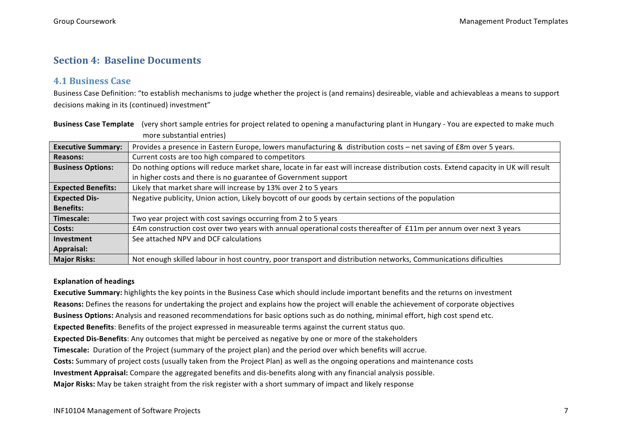#### **Section 4: Baseline Documents**

#### **4.1 Business Case**

Business Case Definition: "to establish mechanisms to judge whether the project is (and remains) desireable, viable and achievableas a means to support decisions making in its (continued) investment"

| Pasincss case remplate<br>Tech short sample entires for project related to opening a manaracturing plant in mangary – roa are expected to make much |                                                                                                                                     |  |  |  |  |
|-----------------------------------------------------------------------------------------------------------------------------------------------------|-------------------------------------------------------------------------------------------------------------------------------------|--|--|--|--|
|                                                                                                                                                     | more substantial entries)                                                                                                           |  |  |  |  |
| <b>Executive Summary:</b>                                                                                                                           | Provides a presence in Eastern Europe, lowers manufacturing & distribution costs - net saving of £8m over 5 years.                  |  |  |  |  |
| <b>Reasons:</b>                                                                                                                                     | Current costs are too high compared to competitors                                                                                  |  |  |  |  |
| <b>Business Options:</b>                                                                                                                            | Do nothing options will reduce market share, locate in far east will increase distribution costs. Extend capacity in UK will result |  |  |  |  |
|                                                                                                                                                     | in higher costs and there is no guarantee of Government support                                                                     |  |  |  |  |
| <b>Expected Benefits:</b>                                                                                                                           | Likely that market share will increase by 13% over 2 to 5 years                                                                     |  |  |  |  |
| <b>Expected Dis-</b>                                                                                                                                | Negative publicity, Union action, Likely boycott of our goods by certain sections of the population                                 |  |  |  |  |
| <b>Benefits:</b>                                                                                                                                    |                                                                                                                                     |  |  |  |  |
| Timescale:                                                                                                                                          | Two year project with cost savings occurring from 2 to 5 years                                                                      |  |  |  |  |
| Costs:                                                                                                                                              | £4m construction cost over two years with annual operational costs thereafter of £11m per annum over next 3 years                   |  |  |  |  |
| Investment                                                                                                                                          | See attached NPV and DCF calculations                                                                                               |  |  |  |  |
| Appraisal:                                                                                                                                          |                                                                                                                                     |  |  |  |  |
| <b>Major Risks:</b>                                                                                                                                 | Not enough skilled labour in host country, poor transport and distribution networks, Communications dificulties                     |  |  |  |  |

# **Business Case Template** (very short sample entries for project related to opening a manufacturing plant in Hungary - You are expected to make much

#### **Explanation of headings**

**Executive Summary:** highlights the key points in the Business Case which should include important benefits and the returns on investment **Reasons:** Defines the reasons for undertaking the project and explains how the project will enable the achievement of corporate objectives **Business Options:** Analysis and reasoned recommendations for basic options such as do nothing, minimal effort, high cost spend etc. **Expected Benefits**: Benefits of the project expressed in measureable terms against the current status quo. **Expected Dis-Benefits**: Any outcomes that might be perceived as negative by one or more of the stakeholders **Timescale:** Duration of the Project (summary of the project plan) and the period over which benefits will accrue. **Costs:** Summary of project costs (usually taken from the Project Plan) as well as the ongoing operations and maintenance costs **Investment Appraisal:** Compare the aggregated benefits and dis-benefits along with any financial analysis possible. **Major Risks:** May be taken straight from the risk register with a short summary of impact and likely response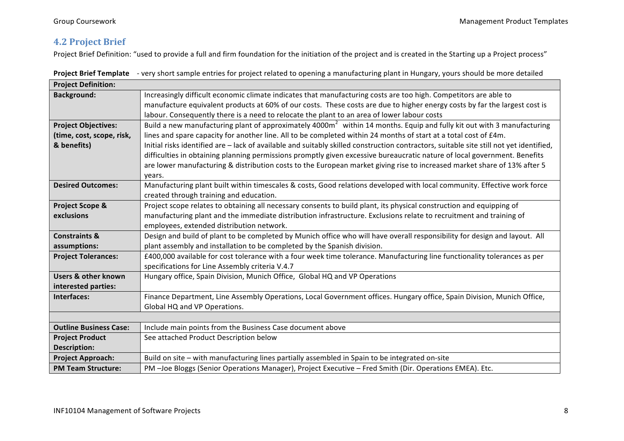#### **4.2 Project Brief**

Project Brief Definition: "used to provide a full and firm foundation for the initiation of the project and is created in the Starting up a Project process"

**Project Brief Template** - very short sample entries for project related to opening a manufacturing plant in Hungary, yours should be more detailed

| <b>Project Definition:</b>     |                                                                                                                                         |  |  |
|--------------------------------|-----------------------------------------------------------------------------------------------------------------------------------------|--|--|
| <b>Background:</b>             | Increasingly difficult economic climate indicates that manufacturing costs are too high. Competitors are able to                        |  |  |
|                                | manufacture equivalent products at 60% of our costs. These costs are due to higher energy costs by far the largest cost is              |  |  |
|                                | labour. Consequently there is a need to relocate the plant to an area of lower labour costs                                             |  |  |
| <b>Project Objectives:</b>     | Build a new manufacturing plant of approximately 4000m <sup>2</sup> within 14 months. Equip and fully kit out with 3 manufacturing      |  |  |
| (time, cost, scope, risk,      | lines and spare capacity for another line. All to be completed within 24 months of start at a total cost of £4m.                        |  |  |
| & benefits)                    | Initial risks identified are - lack of available and suitably skilled construction contractors, suitable site still not yet identified, |  |  |
|                                | difficulties in obtaining planning permissions promptly given excessive bureaucratic nature of local government. Benefits               |  |  |
|                                | are lower manufacturing & distribution costs to the European market giving rise to increased market share of 13% after 5                |  |  |
|                                | years.                                                                                                                                  |  |  |
| <b>Desired Outcomes:</b>       | Manufacturing plant built within timescales & costs, Good relations developed with local community. Effective work force                |  |  |
|                                | created through training and education.                                                                                                 |  |  |
| <b>Project Scope &amp;</b>     | Project scope relates to obtaining all necessary consents to build plant, its physical construction and equipping of                    |  |  |
| exclusions                     | manufacturing plant and the immediate distribution infrastructure. Exclusions relate to recruitment and training of                     |  |  |
|                                | employees, extended distribution network.                                                                                               |  |  |
| <b>Constraints &amp;</b>       | Design and build of plant to be completed by Munich office who will have overall responsibility for design and layout. All              |  |  |
| assumptions:                   | plant assembly and installation to be completed by the Spanish division.                                                                |  |  |
| <b>Project Tolerances:</b>     | £400,000 available for cost tolerance with a four week time tolerance. Manufacturing line functionality tolerances as per               |  |  |
|                                | specifications for Line Assembly criteria V.4.7                                                                                         |  |  |
| <b>Users &amp; other known</b> | Hungary office, Spain Division, Munich Office, Global HQ and VP Operations                                                              |  |  |
| interested parties:            |                                                                                                                                         |  |  |
| Interfaces:                    | Finance Department, Line Assembly Operations, Local Government offices. Hungary office, Spain Division, Munich Office,                  |  |  |
|                                | Global HQ and VP Operations.                                                                                                            |  |  |
|                                |                                                                                                                                         |  |  |
| <b>Outline Business Case:</b>  | Include main points from the Business Case document above                                                                               |  |  |
| <b>Project Product</b>         | See attached Product Description below                                                                                                  |  |  |
| <b>Description:</b>            |                                                                                                                                         |  |  |
| <b>Project Approach:</b>       | Build on site - with manufacturing lines partially assembled in Spain to be integrated on-site                                          |  |  |
| <b>PM Team Structure:</b>      | PM-Joe Bloggs (Senior Operations Manager), Project Executive - Fred Smith (Dir. Operations EMEA). Etc.                                  |  |  |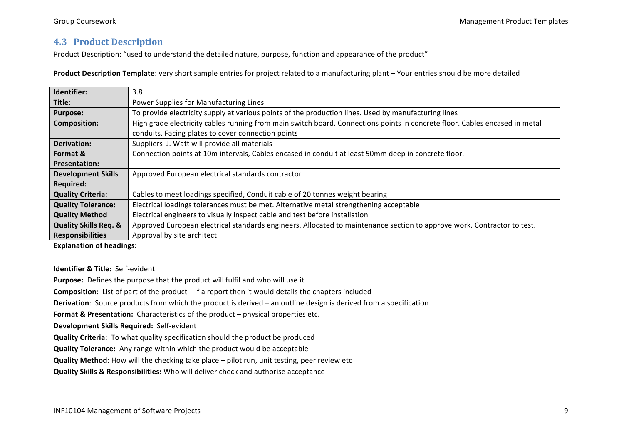#### **4.3 Product Description**

Product Description: "used to understand the detailed nature, purpose, function and appearance of the product"

**Product Description Template**: very short sample entries for project related to a manufacturing plant – Your entries should be more detailed

| Identifier:                                                                                                                                                                                              | 3.8                                                                                                                     |  |  |
|----------------------------------------------------------------------------------------------------------------------------------------------------------------------------------------------------------|-------------------------------------------------------------------------------------------------------------------------|--|--|
| Title:                                                                                                                                                                                                   | Power Supplies for Manufacturing Lines                                                                                  |  |  |
| <b>Purpose:</b>                                                                                                                                                                                          | To provide electricity supply at various points of the production lines. Used by manufacturing lines                    |  |  |
| High grade electricity cables running from main switch board. Connections points in concrete floor. Cables encased in metal<br><b>Composition:</b><br>conduits. Facing plates to cover connection points |                                                                                                                         |  |  |
| <b>Derivation:</b>                                                                                                                                                                                       | Suppliers J. Watt will provide all materials                                                                            |  |  |
| Format &                                                                                                                                                                                                 | Connection points at 10m intervals, Cables encased in conduit at least 50mm deep in concrete floor.                     |  |  |
| <b>Presentation:</b>                                                                                                                                                                                     |                                                                                                                         |  |  |
| <b>Development Skills</b>                                                                                                                                                                                | Approved European electrical standards contractor                                                                       |  |  |
| <b>Required:</b>                                                                                                                                                                                         |                                                                                                                         |  |  |
| <b>Quality Criteria:</b>                                                                                                                                                                                 | Cables to meet loadings specified, Conduit cable of 20 tonnes weight bearing                                            |  |  |
| <b>Quality Tolerance:</b><br>Electrical loadings tolerances must be met. Alternative metal strengthening acceptable                                                                                      |                                                                                                                         |  |  |
| <b>Quality Method</b>                                                                                                                                                                                    | Electrical engineers to visually inspect cable and test before installation                                             |  |  |
| <b>Quality Skills Req. &amp;</b>                                                                                                                                                                         | Approved European electrical standards engineers. Allocated to maintenance section to approve work. Contractor to test. |  |  |
| <b>Responsibilities</b>                                                                                                                                                                                  | Approval by site architect                                                                                              |  |  |

**Explanation of headings:**

#### **Identifier & Title:** Self-evident

**Purpose:** Defines the purpose that the product will fulfil and who will use it.

**Composition:** List of part of the product – if a report then it would details the chapters included

**Derivation**: Source products from which the product is derived – an outline design is derived from a specification

**Format & Presentation:** Characteristics of the product – physical properties etc.

**Development Skills Required:** Self-evident

**Quality Criteria:** To what quality specification should the product be produced

**Quality Tolerance:** Any range within which the product would be acceptable

**Quality Method:** How will the checking take place – pilot run, unit testing, peer review etc

**Quality Skills & Responsibilities:** Who will deliver check and authorise acceptance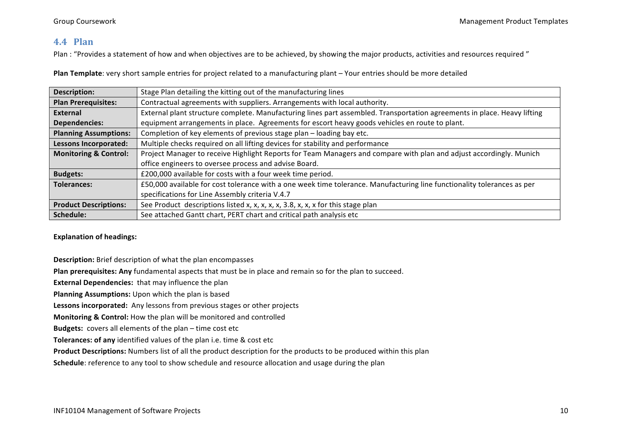#### **4.4 Plan**

Plan : "Provides a statement of how and when objectives are to be achieved, by showing the major products, activities and resources required "

**Plan Template**: very short sample entries for project related to a manufacturing plant – Your entries should be more detailed

| <b>Description:</b>              | Stage Plan detailing the kitting out of the manufacturing lines                                                          |  |  |  |
|----------------------------------|--------------------------------------------------------------------------------------------------------------------------|--|--|--|
| <b>Plan Prerequisites:</b>       | Contractual agreements with suppliers. Arrangements with local authority.                                                |  |  |  |
| External                         | External plant structure complete. Manufacturing lines part assembled. Transportation agreements in place. Heavy lifting |  |  |  |
| <b>Dependencies:</b>             | equipment arrangements in place. Agreements for escort heavy goods vehicles en route to plant.                           |  |  |  |
| <b>Planning Assumptions:</b>     | Completion of key elements of previous stage plan - loading bay etc.                                                     |  |  |  |
| <b>Lessons Incorporated:</b>     | Multiple checks required on all lifting devices for stability and performance                                            |  |  |  |
| <b>Monitoring &amp; Control:</b> | Project Manager to receive Highlight Reports for Team Managers and compare with plan and adjust accordingly. Munich      |  |  |  |
|                                  | office engineers to oversee process and advise Board.                                                                    |  |  |  |
| <b>Budgets:</b>                  | £200,000 available for costs with a four week time period.                                                               |  |  |  |
| <b>Tolerances:</b>               | £50,000 available for cost tolerance with a one week time tolerance. Manufacturing line functionality tolerances as per  |  |  |  |
|                                  | specifications for Line Assembly criteria V.4.7                                                                          |  |  |  |
| <b>Product Descriptions:</b>     | See Product descriptions listed x, x, x, x, x, 3.8, x, x, x for this stage plan                                          |  |  |  |
| Schedule:                        | See attached Gantt chart, PERT chart and critical path analysis etc                                                      |  |  |  |

#### **Explanation of headings:**

**Description:** Brief description of what the plan encompasses **Plan prerequisites: Any** fundamental aspects that must be in place and remain so for the plan to succeed. **External Dependencies:** that may influence the plan **Planning Assumptions:** Upon which the plan is based Lessons incorporated: Any lessons from previous stages or other projects **Monitoring & Control:** How the plan will be monitored and controlled **Budgets:** covers all elements of the plan – time cost etc **Tolerances: of any** identified values of the plan i.e. time & cost etc **Product Descriptions:** Numbers list of all the product description for the products to be produced within this plan **Schedule**: reference to any tool to show schedule and resource allocation and usage during the plan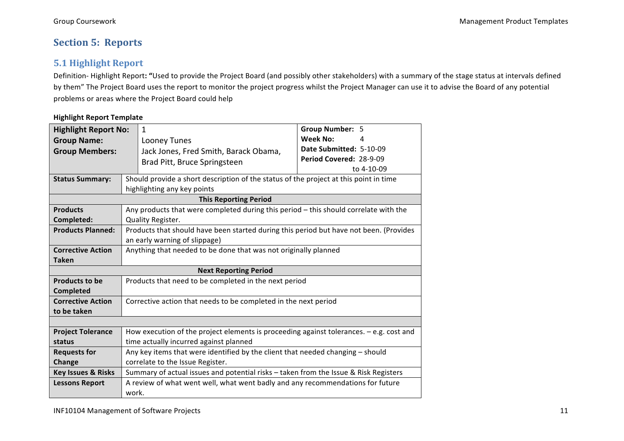### **Section 5: Reports**

#### **5.1 Highlight Report**

Definition- Highlight Report: "Used to provide the Project Board (and possibly other stakeholders) with a summary of the stage status at intervals defined by them" The Project Board uses the report to monitor the project progress whilst the Project Manager can use it to advise the Board of any potential problems or areas where the Project Board could help

#### **Highlight Report Template**

| <b>Highlight Report No:</b>   |                                                                                         | 1                                                                                       | Group Number: 5         |  |  |  |
|-------------------------------|-----------------------------------------------------------------------------------------|-----------------------------------------------------------------------------------------|-------------------------|--|--|--|
| <b>Group Name:</b>            |                                                                                         | Looney Tunes                                                                            | <b>Week No:</b>         |  |  |  |
| <b>Group Members:</b>         |                                                                                         | Jack Jones, Fred Smith, Barack Obama,                                                   | Date Submitted: 5-10-09 |  |  |  |
|                               |                                                                                         | Brad Pitt, Bruce Springsteen                                                            | Period Covered: 28-9-09 |  |  |  |
|                               |                                                                                         |                                                                                         | to 4-10-09              |  |  |  |
| <b>Status Summary:</b>        |                                                                                         | Should provide a short description of the status of the project at this point in time   |                         |  |  |  |
|                               |                                                                                         | highlighting any key points                                                             |                         |  |  |  |
|                               |                                                                                         | <b>This Reporting Period</b>                                                            |                         |  |  |  |
| <b>Products</b>               | Any products that were completed during this period - this should correlate with the    |                                                                                         |                         |  |  |  |
| Completed:                    | Quality Register.                                                                       |                                                                                         |                         |  |  |  |
| <b>Products Planned:</b>      | Products that should have been started during this period but have not been. (Provides  |                                                                                         |                         |  |  |  |
|                               | an early warning of slippage)                                                           |                                                                                         |                         |  |  |  |
| <b>Corrective Action</b>      | Anything that needed to be done that was not originally planned                         |                                                                                         |                         |  |  |  |
| <b>Taken</b>                  |                                                                                         |                                                                                         |                         |  |  |  |
|                               |                                                                                         | <b>Next Reporting Period</b>                                                            |                         |  |  |  |
| <b>Products to be</b>         |                                                                                         | Products that need to be completed in the next period                                   |                         |  |  |  |
| <b>Completed</b>              |                                                                                         |                                                                                         |                         |  |  |  |
| <b>Corrective Action</b>      | Corrective action that needs to be completed in the next period                         |                                                                                         |                         |  |  |  |
| to be taken                   |                                                                                         |                                                                                         |                         |  |  |  |
|                               |                                                                                         |                                                                                         |                         |  |  |  |
| <b>Project Tolerance</b>      | How execution of the project elements is proceeding against tolerances. - e.g. cost and |                                                                                         |                         |  |  |  |
| status                        |                                                                                         | time actually incurred against planned                                                  |                         |  |  |  |
| <b>Requests for</b>           |                                                                                         | Any key items that were identified by the client that needed changing - should          |                         |  |  |  |
| Change                        |                                                                                         | correlate to the Issue Register.                                                        |                         |  |  |  |
| <b>Key Issues &amp; Risks</b> |                                                                                         | Summary of actual issues and potential risks - taken from the Issue & Risk Registers    |                         |  |  |  |
| <b>Lessons Report</b>         |                                                                                         | A review of what went well, what went badly and any recommendations for future<br>work. |                         |  |  |  |